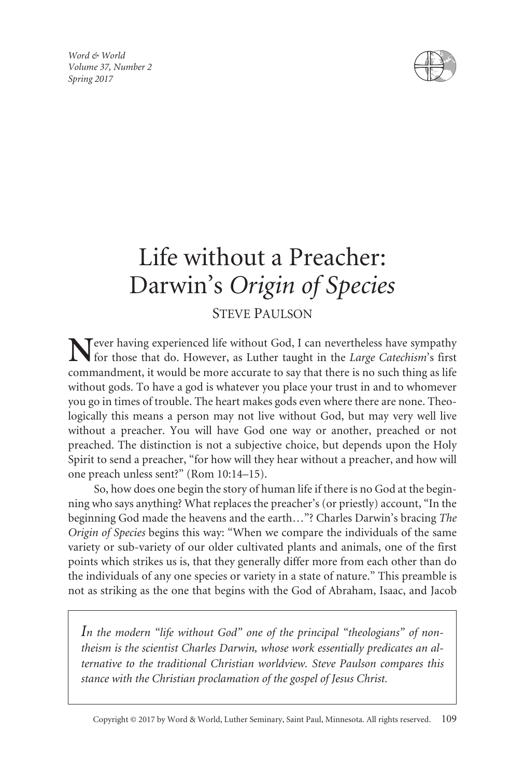*Word & World Volume 37, Number 2 Spring 2017*



# Life without a Preacher: Darwin's *Origin of Species*

## STEVE PAULSON

**T**ever having experienced life without God, I can nevertheless have sympathy for those that do. However, as Luther taught in the *Large Catechism*'s first commandment, it would be more accurate to say that there is no such thing as life without gods. To have a god is whatever you place your trust in and to whomever you go in times of trouble. The heart makes gods even where there are none. Theologically this means a person may not live without God, but may very well live without a preacher. You will have God one way or another, preached or not preached. The distinction is not a subjective choice, but depends upon the Holy Spirit to send a preacher, "for how will they hear without a preacher, and how will one preach unless sent?" (Rom 10:14–15).

So, how does one begin the story of human life if there is no God at the beginning who says anything? What replaces the preacher's (or priestly) account, "In the beginning God made the heavens and the earth…"? Charles Darwin's bracing *The Origin of Species* begins this way: "When we compare the individuals of the same variety or sub-variety of our older cultivated plants and animals, one of the first points which strikes us is, that they generally differ more from each other than do the individuals of any one species or variety in a state of nature." This preamble is not as striking as the one that begins with the God of Abraham, Isaac, and Jacob

*In the modern "life without God" one of the principal "theologians" of nontheism is the scientist Charles Darwin, whose work essentially predicates an alternative to the traditional Christian worldview. Steve Paulson compares this stance with the Christian proclamation of the gospel of Jesus Christ.*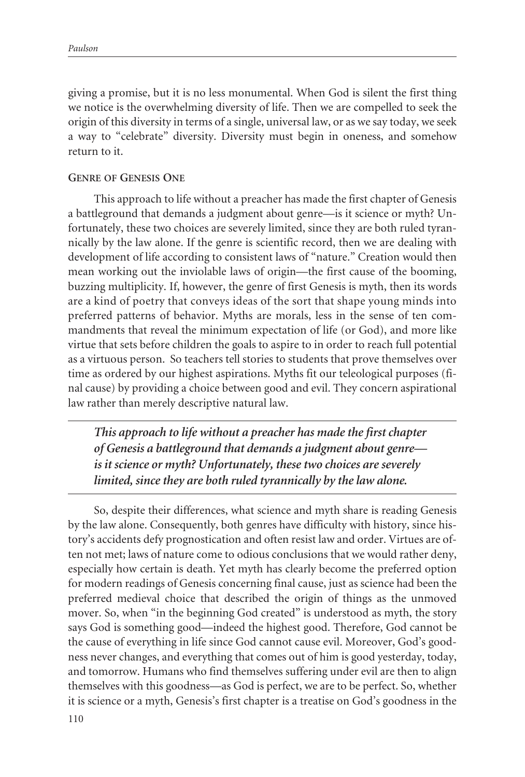giving a promise, but it is no less monumental. When God is silent the first thing we notice is the overwhelming diversity of life. Then we are compelled to seek the origin of this diversity in terms of a single, universal law, or as we say today, we seek a way to "celebrate" diversity. Diversity must begin in oneness, and somehow return to it.

### **GENRE OF GENESIS ONE**

This approach to life without a preacher has made the first chapter of Genesis a battleground that demands a judgment about genre—is it science or myth? Unfortunately, these two choices are severely limited, since they are both ruled tyrannically by the law alone. If the genre is scientific record, then we are dealing with development of life according to consistent laws of "nature." Creation would then mean working out the inviolable laws of origin—the first cause of the booming, buzzing multiplicity. If, however, the genre of first Genesis is myth, then its words are a kind of poetry that conveys ideas of the sort that shape young minds into preferred patterns of behavior. Myths are morals, less in the sense of ten commandments that reveal the minimum expectation of life (or God), and more like virtue that sets before children the goals to aspire to in order to reach full potential as a virtuous person. So teachers tell stories to students that prove themselves over time as ordered by our highest aspirations. Myths fit our teleological purposes (final cause) by providing a choice between good and evil. They concern aspirational law rather than merely descriptive natural law.

*This approach to life without a preacher has made the first chapter of Genesis a battleground that demands a judgment about genre is it science or myth? Unfortunately, these two choices are severely limited, since they are both ruled tyrannically by the law alone.*

So, despite their differences, what science and myth share is reading Genesis by the law alone. Consequently, both genres have difficulty with history, since history's accidents defy prognostication and often resist law and order. Virtues are often not met; laws of nature come to odious conclusions that we would rather deny, especially how certain is death. Yet myth has clearly become the preferred option for modern readings of Genesis concerning final cause, just as science had been the preferred medieval choice that described the origin of things as the unmoved mover. So, when "in the beginning God created" is understood as myth, the story says God is something good—indeed the highest good. Therefore, God cannot be the cause of everything in life since God cannot cause evil. Moreover, God's goodness never changes, and everything that comes out of him is good yesterday, today, and tomorrow. Humans who find themselves suffering under evil are then to align themselves with this goodness—as God is perfect, we are to be perfect. So, whether it is science or a myth, Genesis's first chapter is a treatise on God's goodness in the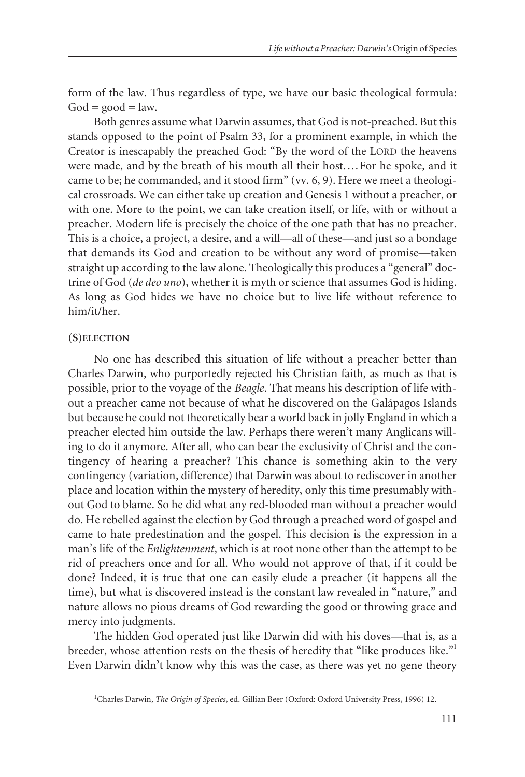form of the law. Thus regardless of type, we have our basic theological formula:  $God = good = law.$ 

Both genres assume what Darwin assumes, that God is not-preached. But this stands opposed to the point of Psalm 33, for a prominent example, in which the Creator is inescapably the preached God: "By the word of the LORD the heavens were made, and by the breath of his mouth all their host.…For he spoke, and it came to be; he commanded, and it stood firm" (vv. 6, 9). Here we meet a theological crossroads. We can either take up creation and Genesis 1 without a preacher, or with one. More to the point, we can take creation itself, or life, with or without a preacher. Modern life is precisely the choice of the one path that has no preacher. This is a choice, a project, a desire, and a will—all of these—and just so a bondage that demands its God and creation to be without any word of promise—taken straight up according to the law alone. Theologically this produces a "general" doctrine of God (*de deo uno*), whether it is myth or science that assumes God is hiding. As long as God hides we have no choice but to live life without reference to him/it/her.

#### **(S)ELECTION**

No one has described this situation of life without a preacher better than Charles Darwin, who purportedly rejected his Christian faith, as much as that is possible, prior to the voyage of the *Beagle*. That means his description of life without a preacher came not because of what he discovered on the Galápagos Islands but because he could not theoretically bear a world back in jolly England in which a preacher elected him outside the law. Perhaps there weren't many Anglicans willing to do it anymore. After all, who can bear the exclusivity of Christ and the contingency of hearing a preacher? This chance is something akin to the very contingency (variation, difference) that Darwin was about to rediscover in another place and location within the mystery of heredity, only this time presumably without God to blame. So he did what any red-blooded man without a preacher would do. He rebelled against the election by God through a preached word of gospel and came to hate predestination and the gospel. This decision is the expression in a man's life of the *Enlightenment*, which is at root none other than the attempt to be rid of preachers once and for all. Who would not approve of that, if it could be done? Indeed, it is true that one can easily elude a preacher (it happens all the time), but what is discovered instead is the constant law revealed in "nature," and nature allows no pious dreams of God rewarding the good or throwing grace and mercy into judgments.

The hidden God operated just like Darwin did with his doves—that is, as a breeder, whose attention rests on the thesis of heredity that "like produces like."<sup>1</sup> Even Darwin didn't know why this was the case, as there was yet no gene theory

<sup>&</sup>lt;sup>1</sup>Charles Darwin, *The Origin of Species*, ed. Gillian Beer (Oxford: Oxford University Press, 1996) 12.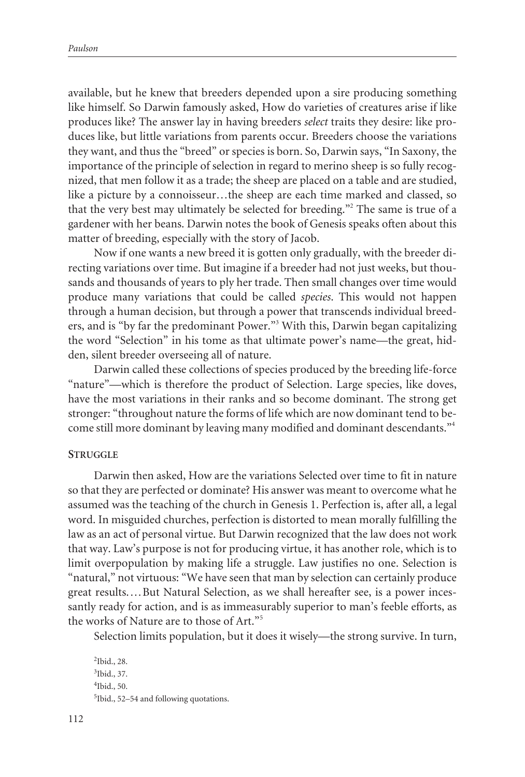available, but he knew that breeders depended upon a sire producing something like himself. So Darwin famously asked, How do varieties of creatures arise if like produces like? The answer lay in having breeders *select* traits they desire: like produces like, but little variations from parents occur. Breeders choose the variations they want, and thus the "breed" or species is born. So, Darwin says, "In Saxony, the importance of the principle of selection in regard to merino sheep is so fully recognized, that men follow it as a trade; the sheep are placed on a table and are studied, like a picture by a connoisseur…the sheep are each time marked and classed, so that the very best may ultimately be selected for breeding."<sup>2</sup> The same is true of a gardener with her beans. Darwin notes the book of Genesis speaks often about this matter of breeding, especially with the story of Jacob.

Now if one wants a new breed it is gotten only gradually, with the breeder directing variations over time. But imagine if a breeder had not just weeks, but thousands and thousands of years to ply her trade. Then small changes over time would produce many variations that could be called *species*. This would not happen through a human decision, but through a power that transcends individual breeders, and is "by far the predominant Power."<sup>3</sup> With this, Darwin began capitalizing the word "Selection" in his tome as that ultimate power's name—the great, hidden, silent breeder overseeing all of nature.

Darwin called these collections of species produced by the breeding life-force "nature"—which is therefore the product of Selection. Large species, like doves, have the most variations in their ranks and so become dominant. The strong get stronger: "throughout nature the forms of life which are now dominant tend to become still more dominant by leaving many modified and dominant descendants."<sup>4</sup>

#### **STRUGGLE**

Darwin then asked, How are the variations Selected over time to fit in nature so that they are perfected or dominate? His answer was meant to overcome what he assumed was the teaching of the church in Genesis 1. Perfection is, after all, a legal word. In misguided churches, perfection is distorted to mean morally fulfilling the law as an act of personal virtue. But Darwin recognized that the law does not work that way. Law's purpose is not for producing virtue, it has another role, which is to limit overpopulation by making life a struggle. Law justifies no one. Selection is "natural," not virtuous: "We have seen that man by selection can certainly produce great results.…But Natural Selection, as we shall hereafter see, is a power incessantly ready for action, and is as immeasurably superior to man's feeble efforts, as the works of Nature are to those of Art."<sup>5</sup>

Selection limits population, but it does it wisely—the strong survive. In turn,

 Ibid., 28. Ibid., 37. Ibid., 50. Ibid., 52–54 and following quotations.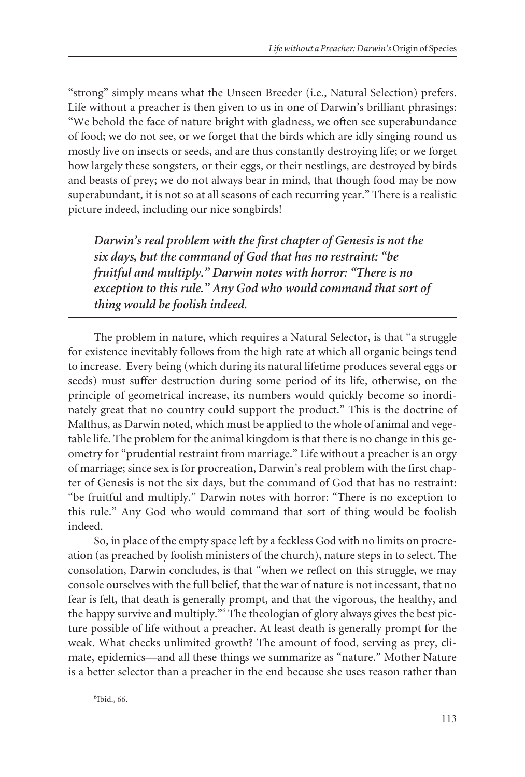"strong" simply means what the Unseen Breeder (i.e., Natural Selection) prefers. Life without a preacher is then given to us in one of Darwin's brilliant phrasings: "We behold the face of nature bright with gladness, we often see superabundance of food; we do not see, or we forget that the birds which are idly singing round us mostly live on insects or seeds, and are thus constantly destroying life; or we forget how largely these songsters, or their eggs, or their nestlings, are destroyed by birds and beasts of prey; we do not always bear in mind, that though food may be now superabundant, it is not so at all seasons of each recurring year." There is a realistic picture indeed, including our nice songbirds!

*Darwin's real problem with the first chapter of Genesis is not the six days, but the command of God that has no restraint: "be fruitful and multiply." Darwin notes with horror: "There is no exception to this rule." Any God who would command that sort of thing would be foolish indeed.*

The problem in nature, which requires a Natural Selector, is that "a struggle for existence inevitably follows from the high rate at which all organic beings tend to increase. Every being (which during its natural lifetime produces several eggs or seeds) must suffer destruction during some period of its life, otherwise, on the principle of geometrical increase, its numbers would quickly become so inordinately great that no country could support the product." This is the doctrine of Malthus, as Darwin noted, which must be applied to the whole of animal and vegetable life. The problem for the animal kingdom is that there is no change in this geometry for "prudential restraint from marriage." Life without a preacher is an orgy of marriage; since sex is for procreation, Darwin's real problem with the first chapter of Genesis is not the six days, but the command of God that has no restraint: "be fruitful and multiply." Darwin notes with horror: "There is no exception to this rule." Any God who would command that sort of thing would be foolish indeed.

So, in place of the empty space left by a feckless God with no limits on procreation (as preached by foolish ministers of the church), nature steps in to select. The consolation, Darwin concludes, is that "when we reflect on this struggle, we may console ourselves with the full belief, that the war of nature is not incessant, that no fear is felt, that death is generally prompt, and that the vigorous, the healthy, and the happy survive and multiply."<sup>6</sup> The theologian of glory always gives the best picture possible of life without a preacher. At least death is generally prompt for the weak. What checks unlimited growth? The amount of food, serving as prey, climate, epidemics—and all these things we summarize as "nature." Mother Nature is a better selector than a preacher in the end because she uses reason rather than

6 Ibid., 66.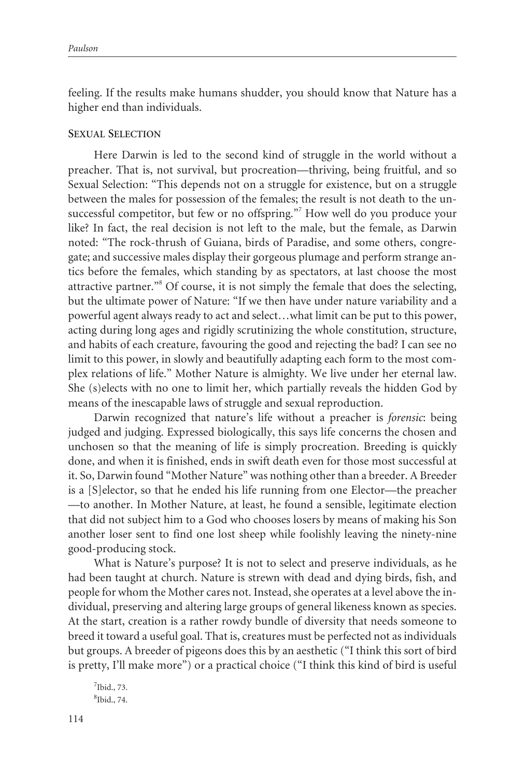feeling. If the results make humans shudder, you should know that Nature has a higher end than individuals.

#### **SEXUAL SELECTION**

Here Darwin is led to the second kind of struggle in the world without a preacher. That is, not survival, but procreation—thriving, being fruitful, and so Sexual Selection: "This depends not on a struggle for existence, but on a struggle between the males for possession of the females; the result is not death to the unsuccessful competitor, but few or no offspring."<sup>7</sup> How well do you produce your like? In fact, the real decision is not left to the male, but the female, as Darwin noted: "The rock-thrush of Guiana, birds of Paradise, and some others, congregate; and successive males display their gorgeous plumage and perform strange antics before the females, which standing by as spectators, at last choose the most attractive partner."<sup>8</sup> Of course, it is not simply the female that does the selecting, but the ultimate power of Nature: "If we then have under nature variability and a powerful agent always ready to act and select…what limit can be put to this power, acting during long ages and rigidly scrutinizing the whole constitution, structure, and habits of each creature, favouring the good and rejecting the bad? I can see no limit to this power, in slowly and beautifully adapting each form to the most complex relations of life." Mother Nature is almighty. We live under her eternal law. She (s)elects with no one to limit her, which partially reveals the hidden God by means of the inescapable laws of struggle and sexual reproduction.

Darwin recognized that nature's life without a preacher is *forensic*: being judged and judging. Expressed biologically, this says life concerns the chosen and unchosen so that the meaning of life is simply procreation. Breeding is quickly done, and when it is finished, ends in swift death even for those most successful at it. So, Darwin found "Mother Nature" was nothing other than a breeder. A Breeder is a [S]elector, so that he ended his life running from one Elector—the preacher —to another. In Mother Nature, at least, he found a sensible, legitimate election that did not subject him to a God who chooses losers by means of making his Son another loser sent to find one lost sheep while foolishly leaving the ninety-nine good-producing stock.

What is Nature's purpose? It is not to select and preserve individuals, as he had been taught at church. Nature is strewn with dead and dying birds, fish, and people for whom the Mother cares not. Instead, she operates at a level above the individual, preserving and altering large groups of general likeness known as species. At the start, creation is a rather rowdy bundle of diversity that needs someone to breed it toward a useful goal. That is, creatures must be perfected not as individuals but groups. A breeder of pigeons does this by an aesthetic ("I think this sort of bird is pretty, I'll make more") or a practical choice ("I think this kind of bird is useful

<sup>7</sup> Ibid., 73. 8 Ibid., 74.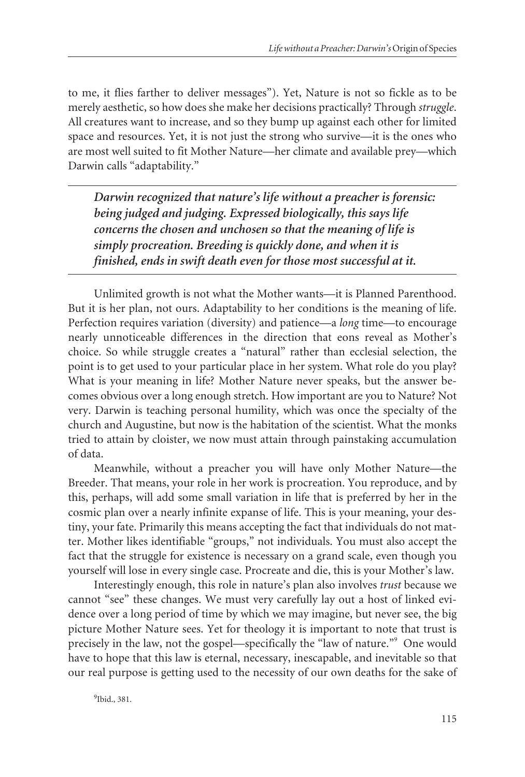to me, it flies farther to deliver messages"). Yet, Nature is not so fickle as to be merely aesthetic, so how does she make her decisions practically? Through *struggle*. All creatures want to increase, and so they bump up against each other for limited space and resources. Yet, it is not just the strong who survive—it is the ones who are most well suited to fit Mother Nature—her climate and available prey—which Darwin calls "adaptability."

*Darwin recognized that nature's life without a preacher is forensic: being judged and judging. Expressed biologically, this says life concerns the chosen and unchosen so that the meaning of life is simply procreation. Breeding is quickly done, and when it is finished, ends in swift death even for those most successful at it.*

Unlimited growth is not what the Mother wants—it is Planned Parenthood. But it is her plan, not ours. Adaptability to her conditions is the meaning of life. Perfection requires variation (diversity) and patience—a *long* time—to encourage nearly unnoticeable differences in the direction that eons reveal as Mother's choice. So while struggle creates a "natural" rather than ecclesial selection, the point is to get used to your particular place in her system. What role do you play? What is your meaning in life? Mother Nature never speaks, but the answer becomes obvious over a long enough stretch. How important are you to Nature? Not very. Darwin is teaching personal humility, which was once the specialty of the church and Augustine, but now is the habitation of the scientist. What the monks tried to attain by cloister, we now must attain through painstaking accumulation of data.

Meanwhile, without a preacher you will have only Mother Nature—the Breeder. That means, your role in her work is procreation. You reproduce, and by this, perhaps, will add some small variation in life that is preferred by her in the cosmic plan over a nearly infinite expanse of life. This is your meaning, your destiny, your fate. Primarily this means accepting the fact that individuals do not matter. Mother likes identifiable "groups," not individuals. You must also accept the fact that the struggle for existence is necessary on a grand scale, even though you yourself will lose in every single case. Procreate and die, this is your Mother's law.

Interestingly enough, this role in nature's plan also involves *trust* because we cannot "see" these changes. We must very carefully lay out a host of linked evidence over a long period of time by which we may imagine, but never see, the big picture Mother Nature sees. Yet for theology it is important to note that trust is precisely in the law, not the gospel—specifically the "law of nature."<sup>9</sup> One would have to hope that this law is eternal, necessary, inescapable, and inevitable so that our real purpose is getting used to the necessity of our own deaths for the sake of

9 Ibid., 381.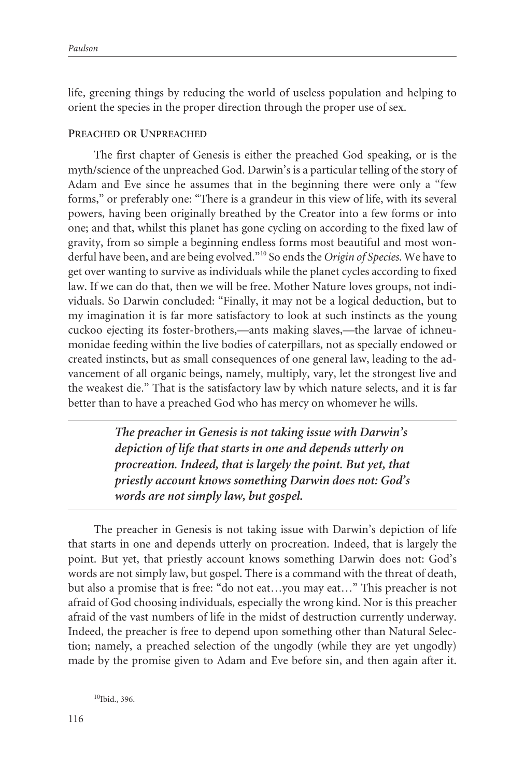life, greening things by reducing the world of useless population and helping to orient the species in the proper direction through the proper use of sex.

#### **PREACHED OR UNPREACHED**

The first chapter of Genesis is either the preached God speaking, or is the myth/science of the unpreached God. Darwin's is a particular telling of the story of Adam and Eve since he assumes that in the beginning there were only a "few forms," or preferably one: "There is a grandeur in this view of life, with its several powers, having been originally breathed by the Creator into a few forms or into one; and that, whilst this planet has gone cycling on according to the fixed law of gravity, from so simple a beginning endless forms most beautiful and most wonderful have been, and are being evolved."<sup>10</sup> So ends the *Origin of Species*. We have to get over wanting to survive as individuals while the planet cycles according to fixed law. If we can do that, then we will be free. Mother Nature loves groups, not individuals. So Darwin concluded: "Finally, it may not be a logical deduction, but to my imagination it is far more satisfactory to look at such instincts as the young cuckoo ejecting its foster-brothers,—ants making slaves,—the larvae of ichneumonidae feeding within the live bodies of caterpillars, not as specially endowed or created instincts, but as small consequences of one general law, leading to the advancement of all organic beings, namely, multiply, vary, let the strongest live and the weakest die." That is the satisfactory law by which nature selects, and it is far better than to have a preached God who has mercy on whomever he wills.

> *The preacher in Genesis is not taking issue with Darwin's depiction of life that starts in one and depends utterly on procreation. Indeed, that is largely the point. But yet, that priestly account knows something Darwin does not: God's words are not simply law, but gospel.*

The preacher in Genesis is not taking issue with Darwin's depiction of life that starts in one and depends utterly on procreation. Indeed, that is largely the point. But yet, that priestly account knows something Darwin does not: God's words are not simply law, but gospel. There is a command with the threat of death, but also a promise that is free: "do not eat…you may eat…" This preacher is not afraid of God choosing individuals, especially the wrong kind. Nor is this preacher afraid of the vast numbers of life in the midst of destruction currently underway. Indeed, the preacher is free to depend upon something other than Natural Selection; namely, a preached selection of the ungodly (while they are yet ungodly) made by the promise given to Adam and Eve before sin, and then again after it.

<sup>10</sup>Ibid., 396.